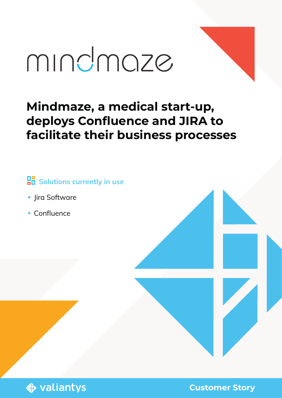# mindmaze

# **Mindmaze, a medical start-up, deploys Confluence and JIRA to facilitate their business processes**

# **Bolutions currently in use**

- **•** Jira Software
- Confluence



**Customer Story**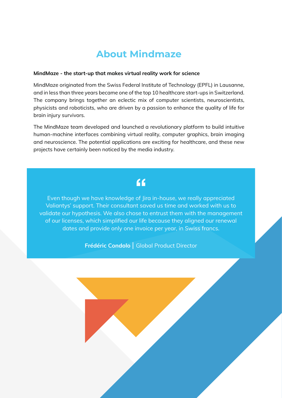## **About Mindmaze**

#### MindMaze - the start-up that makes virtual reality work for science

MindMaze originated from the Swiss Federal Institute of Technology (EPFL) in Lausanne, and in less than three years became one of the top 10 healthcare start-ups in Switzerland. The company brings together an eclectic mix of computer scientists, neuroscientists, physicists and roboticists, who are driven by a passion to enhance the quality of life for brain injury survivors.

The MindMaze team developed and launched a revolutionary platform to build intuitive human-machine interfaces combining virtual reality, computer graphics, brain imaging and neuroscience. The potential applications are exciting for healthcare, and these new projects have certainly been noticed by the media industry.

# $f$

Even though we have knowledge of Jira in-house, we really appreciated Valiantys' support. Their consultant saved us time and worked with us to validate our hypothesis. We also chose to entrust them with the management of our licenses, which simplified our life because they aligned our renewal dates and provide only one invoice per year, in Swiss francs.

Frédéric Condolo | Global Product Director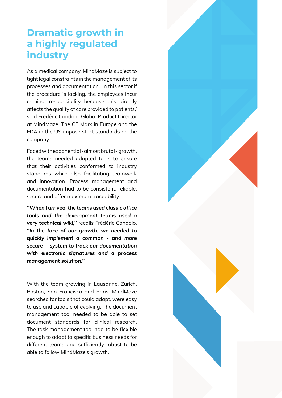# **Dramatic growth in a highly regulated industry**

As a medical company, MindMaze is subject to tight legal constraints in the management of its processes and documentation. 'In this sector if the procedure is lacking, the employees incur criminal responsibility because this directly affects the quality of care provided to patients,' said Frédéric Condolo, Global Product Director at MindMaze. The CE Mark in Europe and the FDA in the US impose strict standards on the company.

Faced with exponential - almost brutal - growth, the teams needed adapted tools to ensure that their activities conformed to industry standards while also facilitating teamwork and innovation. Process management and documentation had to be consistent, reliable, secure and offer maximum traceability.

*''When I arrived, the teams used classic office tools and the development teams used a very technical wiki,''* recalls Frédéric Condolo. *''In the face of our growth, we needed to quickly implement a common - and more secure - system to track our documentation with electronic signatures and a process management solution.''*

With the team growing in Lausanne, Zurich, Boston, San Francisco and Paris, MindMaze searched for tools that could adapt, were easy to use and capable of evolving. The document management tool needed to be able to set document standards for clinical research. The task management tool had to be flexible enough to adapt to specific business needs for different teams and sufficiently robust to be able to follow MindMaze's growth.

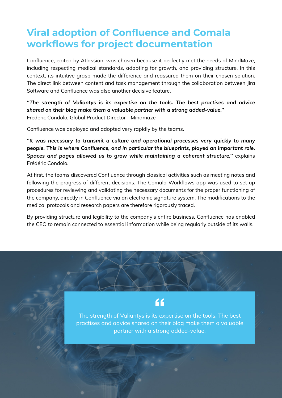# **Viral adoption of Confluence and Comala workflows for project documentation**

Confluence, edited by Atlassian, was chosen because it perfectly met the needs of MindMaze, including respecting medical standards, adapting for growth, and providing structure. In this context, its intuitive grasp made the difference and reassured them on their chosen solution. The direct link between content and task management through the collaboration between Jira Software and Confluence was also another decisive feature.

*''The strength of Valiantys is its expertise on the tools. The best practises and advice shared on their blog make them a valuable partner with a strong added-value.''* Frederic Condolo, Global Product Director - Mindmaze

Confluence was deployed and adopted very rapidly by the teams.

*''It was necessary to transmit a culture and operational processes very quickly to many people. This is where Confluence, and in particular the blueprints, played an important role. Spaces and pages allowed us to grow while maintaining a coherent structure,''* explains Frédéric Condolo.

At first, the teams discovered Confluence through classical activities such as meeting notes and following the progress of different decisions. The Comala Workflows app was used to set up procedures for reviewing and validating the necessary documents for the proper functioning of the company, directly in Confluence via an electronic signature system. The modifications to the medical protocols and research papers are therefore rigorously traced.

By providing structure and legibility to the company's entire business, Confluence has enabled the CEO to remain connected to essential information while being regularly outside of its walls.

## $\epsilon$

The strength of Valiantys is its expertise on the tools. The best practises and advice shared on their blog make them a valuable partner with a strong added-value.